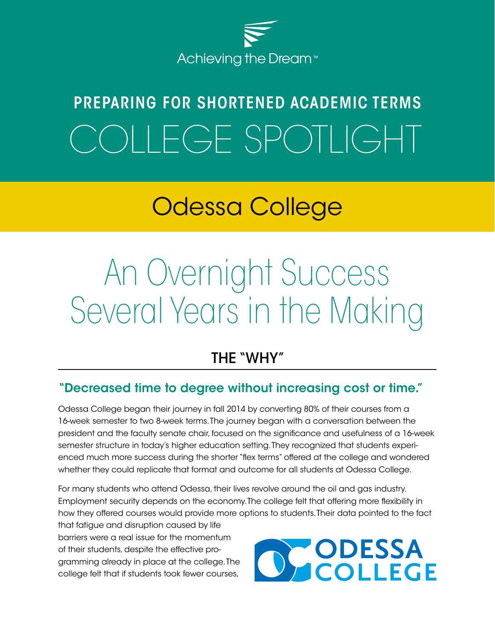

# PREPARING FOR SHORTENED ACADEMIC TERMS OLLEGE SPOTLIGHT

# Odessa College

# An Overnight Success Several Years in the Making

## THE "WHY"

#### "Decreased time to degree without increasing cost or time."

Odessa College began their journey in fall 2014 by converting 80% of their courses from a 16-week semester to two 8-week terms. The journey began with a conversation between the president and the faculty senate chair, focused on the significance and usefulness of a 16-week semester structure in today's higher education setting. They recognized that students experienced much more success during the shorter "flex terms" offered at the college and wondered whether they could replicate that format and outcome for all students at Odessa College.

For many students who attend Odessa, their lives revolve around the oil and gas industry. Employment security depends on the economy. The college felt that offering more flexibility in how they offered courses would provide more options to students. Their data pointed to the fact

that fatigue and disruption caused by life barriers were a real issue for the momentum of their students, despite the effective programming already in place at the college. The college felt that if students took fewer courses,

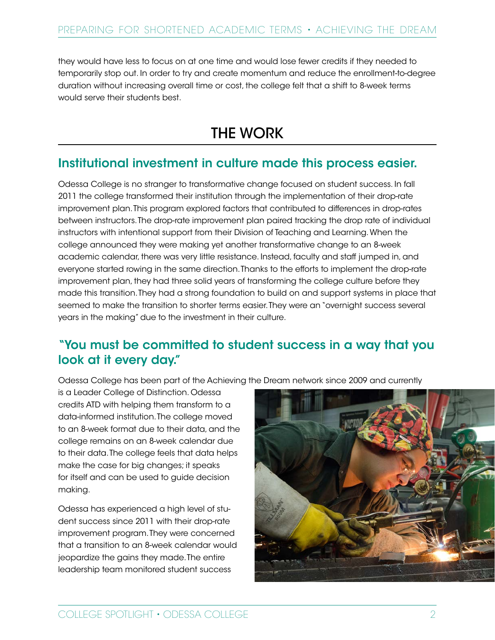they would have less to focus on at one time and would lose fewer credits if they needed to temporarily stop out. In order to try and create momentum and reduce the enrollment-to-degree duration without increasing overall time or cost, the college felt that a shift to 8-week terms would serve their students best.

## THE WORK

#### Institutional investment in culture made this process easier.

Odessa College is no stranger to transformative change focused on student success. In fall 2011 the college transformed their institution through the implementation of their drop-rate improvement plan. This program explored factors that contributed to differences in drop-rates between instructors. The drop-rate improvement plan paired tracking the drop rate of individual instructors with intentional support from their Division of Teaching and Learning. When the college announced they were making yet another transformative change to an 8-week academic calendar, there was very little resistance. Instead, faculty and staff jumped in, and everyone started rowing in the same direction. Thanks to the efforts to implement the drop-rate improvement plan, they had three solid years of transforming the college culture before they made this transition. They had a strong foundation to build on and support systems in place that seemed to make the transition to shorter terms easier. They were an "overnight success several years in the making" due to the investment in their culture.

#### "You must be committed to student success in a way that you look at it every day."

Odessa College has been part of the Achieving the Dream network since 2009 and currently

is a Leader College of Distinction. Odessa credits ATD with helping them transform to a data-informed institution. The college moved to an 8-week format due to their data, and the college remains on an 8-week calendar due to their data. The college feels that data helps make the case for big changes; it speaks for itself and can be used to guide decision making.

Odessa has experienced a high level of student success since 2011 with their drop-rate improvement program. They were concerned that a transition to an 8-week calendar would jeopardize the gains they made. The entire leadership team monitored student success

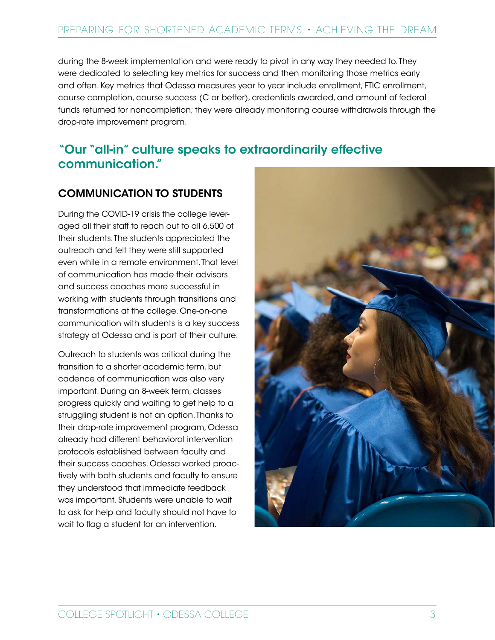during the 8-week implementation and were ready to pivot in any way they needed to. They were dedicated to selecting key metrics for success and then monitoring those metrics early and often. Key metrics that Odessa measures year to year include enrollment, FTIC enrollment, course completion, course success (C or better), credentials awarded, and amount of federal funds returned for noncompletion; they were already monitoring course withdrawals through the drop-rate improvement program.

#### "Our "all-in" culture speaks to extraordinarily effective communication."

#### COMMUNICATION TO STUDENTS

During the COVID-19 crisis the college leveraged all their staff to reach out to all 6,500 of their students. The students appreciated the outreach and felt they were still supported even while in a remote environment. That level of communication has made their advisors and success coaches more successful in working with students through transitions and transformations at the college. One-on-one communication with students is a key success strategy at Odessa and is part of their culture.

Outreach to students was critical during the transition to a shorter academic term, but cadence of communication was also very important. During an 8-week term, classes progress quickly and waiting to get help to a struggling student is not an option. Thanks to their drop-rate improvement program, Odessa already had different behavioral intervention protocols established between faculty and their success coaches. Odessa worked proactively with both students and faculty to ensure they understood that immediate feedback was important. Students were unable to wait to ask for help and faculty should not have to wait to flag a student for an intervention.

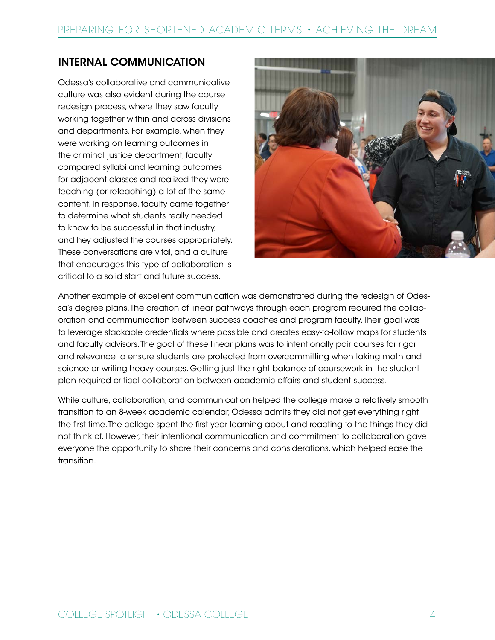#### INTERNAL COMMUNICATION

Odessa's collaborative and communicative culture was also evident during the course redesign process, where they saw faculty working together within and across divisions and departments. For example, when they were working on learning outcomes in the criminal justice department, faculty compared syllabi and learning outcomes for adjacent classes and realized they were teaching (or reteaching) a lot of the same content. In response, faculty came together to determine what students really needed to know to be successful in that industry, and hey adjusted the courses appropriately. These conversations are vital, and a culture that encourages this type of collaboration is critical to a solid start and future success.



Another example of excellent communication was demonstrated during the redesign of Odessa's degree plans. The creation of linear pathways through each program required the collaboration and communication between success coaches and program faculty. Their goal was to leverage stackable credentials where possible and creates easy-to-follow maps for students and faculty advisors. The goal of these linear plans was to intentionally pair courses for rigor and relevance to ensure students are protected from overcommitting when taking math and science or writing heavy courses. Getting just the right balance of coursework in the student plan required critical collaboration between academic affairs and student success.

While culture, collaboration, and communication helped the college make a relatively smooth transition to an 8-week academic calendar, Odessa admits they did not get everything right the first time. The college spent the first year learning about and reacting to the things they did not think of. However, their intentional communication and commitment to collaboration gave everyone the opportunity to share their concerns and considerations, which helped ease the transition.